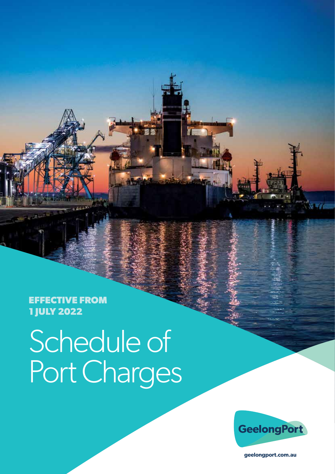**EFFECTIVE FROM 1 JULY 2022**

# Schedule of Port Charges

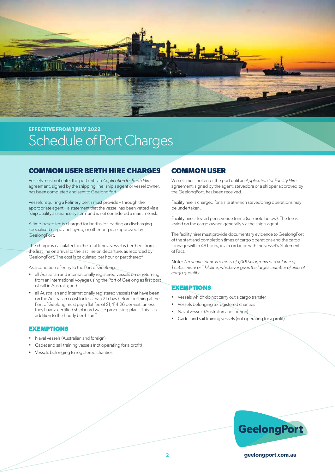

#### **COMMON USER BERTH HIRE CHARGES**

Vessels must not enter the port until an *Application for Berth Hire* agreement, signed by the shipping line, ship's agent or vessel owner, has been completed and sent to GeelongPort.

Vessels requiring a Refinery berth must provide – through the appropriate agent – a statement that the vessel has been vetted via a 'ship quality assurance system' and is not considered a maritime risk.

A time-based fee is charged for berths for loading or discharging specialised cargo and lay-up, or other purpose approved by GeelongPort.

The charge is calculated on the total time a vessel is berthed, from the first line on arrival to the last line on departure, as recorded by GeelongPort. The cost is calculated per hour or part thereof.

As a condition of entry to the Port of Geelong:

- all Australian and internationally registered vessels on or returning from an international voyage using the Port of Geelong as first port of call in Australia; and
- all Australian and internationally registered vessels that have been on the Australian coast for less than 21 days before berthing at the Port of Geelong must pay a flat fee of \$1,414.26 per visit, unless they have a certified shipboard waste processing plant. This is in addition to the hourly berth tariff.

#### **EXEMPTIONS**

- Naval vessels (Australian and foreign)
- Cadet and sail training vessels (not operating for a profit)
- Vessels belonging to registered charities

#### **COMMON USER**

Vessels must not enter the port until an *Application for Facility Hire* agreement, signed by the agent, stevedore or a shipper approved by the GeelongPort, has been received.

Facility hire is charged for a site at which stevedoring operations may be undertaken.

Facility hire is levied per revenue tonne (see note below). The fee is levied on the cargo owner, generally via the ship's agent.

The facility hirer must provide documentary evidence to GeelongPort of the start and completion times of cargo operations and the cargo tonnage within 48 hours, in accordance with the vessel's Statement of Fact.

Note: *A revenue tonne is a mass of 1,000 kilograms or a volume of 1 cubic metre or 1 kilolitre, whichever gives the largest number of units of cargo quantity.*

#### **EXEMPTIONS**

- Vessels which do not carry out a cargo transfer
- Vessels belonging to registered charities
- Naval vessels (Australian and foreign)
- Cadet and sail training vessels (not operating for a profit)

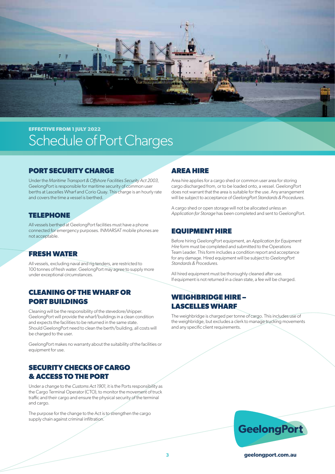

#### **PORT SECURITY CHARGE**

Under the *Maritime Transport & Offshore Facilities Security Act 2003*, GeelongPort is responsible for maritime security of common user berths at Lascelles Wharf and Corio Quay. This charge is an hourly rate and covers the time a vessel is berthed.

#### **TELEPHONE**

All vessels berthed at GeelongPort facilities must have a phone connected for emergency purposes. INMARSAT mobile phones are not acceptable.

#### **FRESH WATER**

All vessels, excluding naval and rig tenders, are restricted to 100 tonnes of fresh water. GeelongPort may agree to supply more under exceptional circumstances.

#### **CLEANING OF THE WHARF OR PORT BUILDINGS**

Cleaning will be the responsibility of the stevedore/shipper. GeelongPort will provide the wharf/buildings in a clean condition and expects the facilities to be returned in the same state. Should GeelongPort need to clean the berth/building, all costs will be charged to the user.

GeelongPort makes no warranty about the suitability of the facilities or equipment for use.

#### **SECURITY CHECKS OF CARGO & ACCESS TO THE PORT**

Under a change to the *Customs Act 1901*, it is the Ports responsibility as the Cargo Terminal Operator (CTO), to monitor the movement of truck traffic and their cargo and ensure the physical security of the terminal and cargo.

The purpose for the change to the Act is to strengthen the cargo supply chain against criminal infiltration.

### **AREA HIRE**

Area hire applies for a cargo shed or common user area for storing cargo discharged from, or to be loaded onto, a vessel. GeelongPort does not warrant that the area is suitable for the use. Any arrangement will be subject to acceptance of *GeelongPort Standards & Procedures*.

A cargo shed or open storage will not be allocated unless an *Application for Storage* has been completed and sent to GeelongPort.

#### **EQUIPMENT HIRE**

Before hiring GeelongPort equipment, an *Application for Equipment Hire* form must be completed and submitted to the Operations Team Leader. This form includes a condition report and acceptance for any damage. Hired equipment will be subject to *GeelongPort Standards & Procedures*.

All hired equipment must be thoroughly cleaned after use. If equipment is not returned in a clean state, a fee will be charged.

### **WEIGHBRIDGE HIRE – LASCELLES WHARF**

The weighbridge is charged per tonne of cargo. This includes use of the weighbridge, but excludes a clerk to manage trucking movements and any specific client requirements.

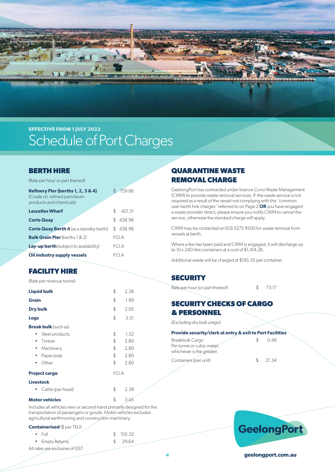

#### **BERTH HIRE**

|  | (Rate per hour or part thereof) |  |
|--|---------------------------------|--|
|--|---------------------------------|--|

| Refinery Pier (berths 1, 2, 3 & 4)<br>(Crude oil, refined petroleum<br>products and chemicals) | 759.86        |
|------------------------------------------------------------------------------------------------|---------------|
| <b>Lascelles Wharf</b>                                                                         | \$.<br>421.31 |
| <b>Corio Quay</b>                                                                              | \$438.96      |
| <b>Corio Quay Berth 4</b> (as a standby berth)                                                 | \$438.96      |
| <b>Bulk Grain Pier</b> (berths $1 & 2$ )                                                       | POA           |
| <b>Lay-up berth</b> (subject to availability)                                                  | POA           |
| Oil industry supply vessels                                                                    | PO A          |

#### **FACILITY HIRE**

(Rate per revenue tonne)

|                 | <b>Liquid bulk</b>          | \$    | 2.38 |  |
|-----------------|-----------------------------|-------|------|--|
| <b>Grain</b>    |                             | \$    | 1.99 |  |
| <b>Dry bulk</b> |                             | \$    | 2.05 |  |
| Logs            |                             | \$    | 3.51 |  |
|                 | <b>Break bulk</b> (such as) |       |      |  |
| ٠               | Steel products              | \$    | 1.52 |  |
| $\bullet$       | Timber                      | \$    | 2.80 |  |
| ٠               | Machinery                   | \$    | 2.80 |  |
| ٠               | Paper pulp                  | \$    | 2.80 |  |
| ٠               | Other                       | \$    | 2.80 |  |
|                 | <b>Project cargo</b>        | P.O.A |      |  |
|                 | <b>Livestock</b>            |       |      |  |
|                 | Cattle (per head)           | \$    | 2.39 |  |
|                 | <b>Motor vehicles</b>       | \$    | 3.45 |  |

Includes all vehicles new or second-hand primarily designed for the transportation of passengers or goods. Motor vehicles excludes agricultural earthmoving and construction machinery.

#### **Containerised** (\$ per TEU)

| $\bullet$ Full                  | \$105.52 |
|---------------------------------|----------|
| • Empty Returns                 | \$29.64  |
| All rates are exclusive of GST. |          |

## **QUARANTINE WASTE REMOVAL CHARGE**

GeelongPort has contracted under licence Corio Waste Management (CWM) to provide waste removal services. If the waste service is not required as a result of the vessel not complying with the "common user berth hire charges" referred to on Page 2 **OR** you have engaged a waste provider direct, please ensure you notify CWM to cancel the service, otherwise the standard charge will apply.

CWM may be contacted on (03) 5275 9500 for waste removal from vessels at berth.

Where a fee has been paid and CWM is engaged, it will discharge up to 10 x 240-litre containers at a cost of \$1,414.26.

Additional waste will be charged at \$195.35 per container.

#### **SECURITY**

Rate per hour (or part thereof)  $$ 73.17$ 

#### **SECURITY CHECKS OF CARGO & PERSONNEL**

*(Excluding dry bulk cargo)*

| <b>Provide security/clerk at entry &amp; exit to Port Facilities</b> |               |        |
|----------------------------------------------------------------------|---------------|--------|
| Breakbulk Cargo                                                      | -SS           | 048    |
| Per tonne or cubic meter,                                            |               |        |
| whichever is the greater.                                            |               |        |
| Containers (per unit)                                                | $\mathcal{L}$ | -21.34 |

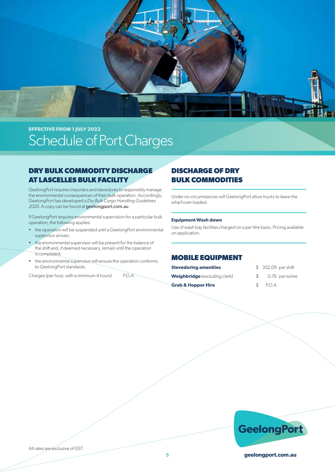

#### **DRY BULK COMMODITY DISCHARGE AT LASCELLES BULK FACILITY**

GeelongPort requires importers and stevedores to responsibly manage the environmental consequences of their bulk operation. Accordingly, GeelongPort has developed a *Dry Bulk Cargo Handling Guidelines 2020*. A copy can be found at geelongport.com.au

If GeelongPort requires environmental supervision for a particular bulk operation, the following applies:

- the operation will be suspended until a GeelongPort environmental supervisor arrives;
- the environmental supervisor will be present for the balance of the shift and, if deemed necessary, remain until the operation is completed;
- the environmental supervisor will ensure the operation conforms to GeelongPort standards.

Charges (per hour, with a minimum 4 hours) P.O.A

### **DISCHARGE OF DRY BULK COMMODITIES**

Under no circumstances will GeelongPort allow trucks to leave the wharf over-loaded.

#### **Equipment Wash down**

Use of wash bay facilities charged on a per litre basis. Pricing available on application.

#### **MOBILE EQUIPMENT**

| <b>Stevedoring amenities</b>         |               | \$352.09 |
|--------------------------------------|---------------|----------|
| <b>Weighbridge</b> (excluding clerk) | $\mathcal{L}$ | 0.76     |
| <b>Grab &amp; Hopper Hire</b>        | $\mathcal{S}$ | P.O.A    |

- **Stevedoring amenities** \$ 352.09 per shift
- $$0.76$  per tonne
- 

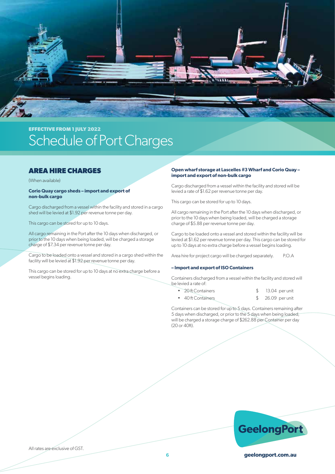

#### **AREA HIRE CHARGES**

(When available)

#### **Corio Quay cargo sheds – import and export of non-bulk cargo**

Cargo discharged from a vessel within the facility and stored in a cargo shed will be levied at \$1.92 per revenue tonne per day.

This cargo can be stored for up to 10 days.

All cargo remaining in the Port after the 10 days when discharged, or prior to the 10 days when being loaded, will be charged a storage charge of \$7.34 per revenue tonne per day.

Cargo to be loaded onto a vessel and stored in a cargo shed within the facility will be levied at \$1.92 per revenue tonne per day.

This cargo can be stored for up to 10 days at no extra charge before a vessel begins loading.

#### **Open wharf storage at Lascelles #3 Wharf and Corio Quay – import and export of non-bulk cargo**

Cargo discharged from a vessel within the facility and stored will be levied a rate of \$1.62 per revenue tonne per day.

This cargo can be stored for up to 10 days.

All cargo remaining in the Port after the 10 days when discharged, or prior to the 10 days when being loaded, will be charged a storage charge of \$5.88 per revenue tonne per day.

Cargo to be loaded onto a vessel and stored within the facility will be levied at \$1.62 per revenue tonne per day. This cargo can be stored for up to 10 days at no extra charge before a vessel begins loading.

Area hire for project cargo will be charged separately. P.O.A

#### **– Import and export of ISO Containers**

Containers discharged from a vessel within the facility and stored will be levied a rate of:

| • 20 ft Containers | 13.04 per unit    |
|--------------------|-------------------|
| • 40 ft Containers | \$ 26.09 per unit |

Containers can be stored for up to 5 days. Containers remaining after 5 days when discharged, or prior to the 5 days when being loaded, will be charged a storage charge of \$262.88 per Container per day (20 or 40ft).



All rates are exclusive of GST.